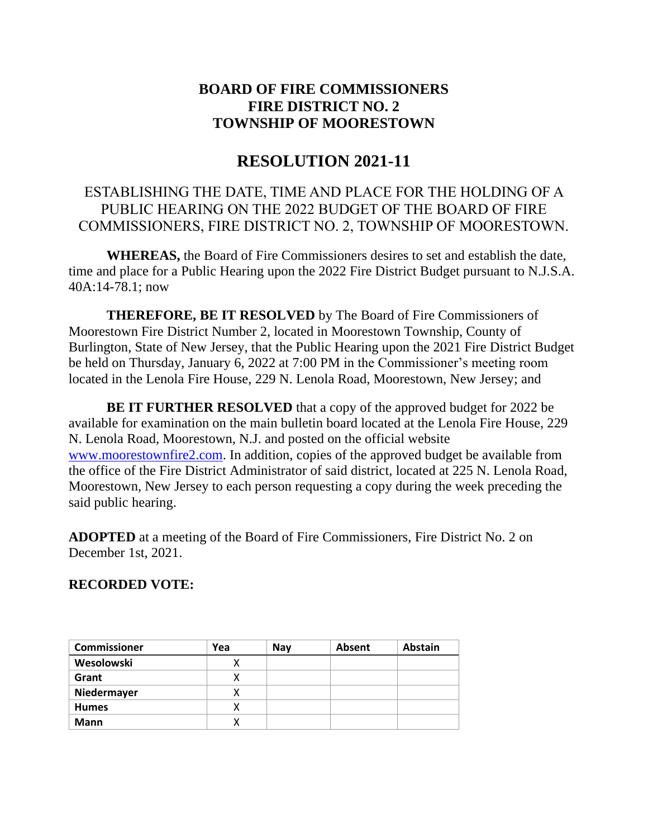# **BOARD OF FIRE COMMISSIONERS FIRE DISTRICT NO. 2 TOWNSHIP OF MOORESTOWN**

# **RESOLUTION 2021-11**

### ESTABLISHING THE DATE, TIME AND PLACE FOR THE HOLDING OF A PUBLIC HEARING ON THE 2022 BUDGET OF THE BOARD OF FIRE COMMISSIONERS, FIRE DISTRICT NO. 2, TOWNSHIP OF MOORESTOWN.

**WHEREAS,** the Board of Fire Commissioners desires to set and establish the date, time and place for a Public Hearing upon the 2022 Fire District Budget pursuant to N.J.S.A. 40A:14-78.1; now

**THEREFORE, BE IT RESOLVED** by The Board of Fire Commissioners of Moorestown Fire District Number 2, located in Moorestown Township, County of Burlington, State of New Jersey, that the Public Hearing upon the 2021 Fire District Budget be held on Thursday, January 6, 2022 at 7:00 PM in the Commissioner's meeting room located in the Lenola Fire House, 229 N. Lenola Road, Moorestown, New Jersey; and

**BE IT FURTHER RESOLVED** that a copy of the approved budget for 2022 be available for examination on the main bulletin board located at the Lenola Fire House, 229 N. Lenola Road, Moorestown, N.J. and posted on the official website [www.moorestownfire2.com.](http://www.moorestownfire2.com/) In addition, copies of the approved budget be available from the office of the Fire District Administrator of said district, located at 225 N. Lenola Road, Moorestown, New Jersey to each person requesting a copy during the week preceding the said public hearing.

**ADOPTED** at a meeting of the Board of Fire Commissioners, Fire District No. 2 on December 1st, 2021.

#### **RECORDED VOTE:**

| <b>Commissioner</b> | Yea | <b>Nav</b> | <b>Absent</b> | <b>Abstain</b> |
|---------------------|-----|------------|---------------|----------------|
| Wesolowski          |     |            |               |                |
| Grant               | х   |            |               |                |
| Niedermayer         | х   |            |               |                |
| <b>Humes</b>        | х   |            |               |                |
| <b>Mann</b>         | x   |            |               |                |